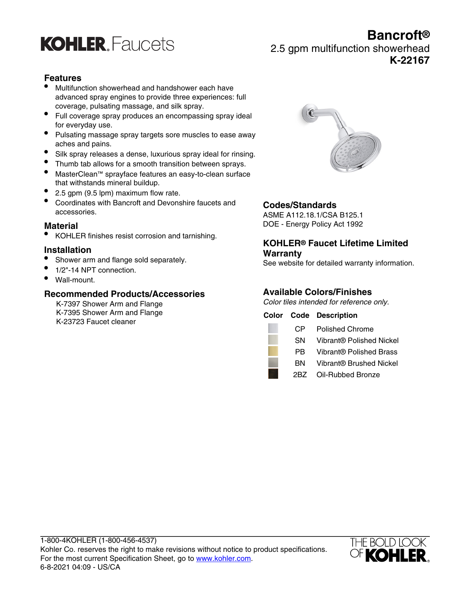

# **Bancroft®** 2.5 gpm multifunction showerhead **K-22167**

# **Features**

- Multifunction showerhead and handshower each have advanced spray engines to provide three experiences: full coverage, pulsating massage, and silk spray.
- Full coverage spray produces an encompassing spray ideal for everyday use.
- Pulsating massage spray targets sore muscles to ease away aches and pains.
- Silk spray releases a dense, luxurious spray ideal for rinsing.
- Thumb tab allows for a smooth transition between sprays.
- MasterClean™ sprayface features an easy-to-clean surface that withstands mineral buildup.
- 2.5 gpm (9.5 lpm) maximum flow rate.
- Coordinates with Bancroft and Devonshire faucets and accessories.

#### **Material**

• KOHLER finishes resist corrosion and tarnishing.

# **Installation**

- Shower arm and flange sold separately.
- 1/2"-14 NPT connection.
- Wall-mount.

# **Recommended Products/Accessories**

K-7397 Shower Arm and Flange K-7395 Shower Arm and Flange K-23723 Faucet cleaner



# **Codes/Standards**

ASME A112.18.1/CSA B125.1 DOE - Energy Policy Act 1992

# **KOHLER® Faucet Lifetime Limited Warranty**

See website for detailed warranty information.

# **Available Colors/Finishes**

Color tiles intended for reference only.

# **Color Code Description**